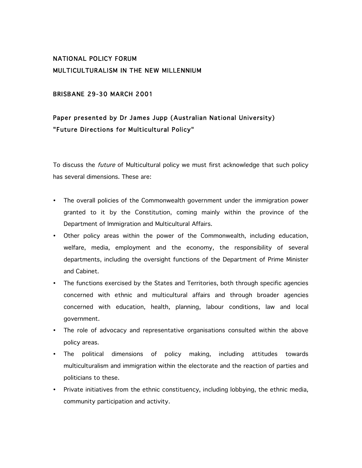## NATIONAL POLICY FORUM MULTICULTURALISM IN THE NEW MILLENNIUM

### BRISBANE 29-30 MARCH 2001

# Paper presented by Dr James Jupp (Australian National University) "Future Directions for Multicultural Policy"

To discuss the future of Multicultural policy we must first acknowledge that such policy has several dimensions. These are:

- The overall policies of the Commonwealth government under the immigration power granted to it by the Constitution, coming mainly within the province of the Department of Immigration and Multicultural Affairs.
- Other policy areas within the power of the Commonwealth, including education, welfare, media, employment and the economy, the responsibility of several departments, including the oversight functions of the Department of Prime Minister and Cabinet.
- The functions exercised by the States and Territories, both through specific agencies concerned with ethnic and multicultural affairs and through broader agencies concerned with education, health, planning, labour conditions, law and local government.
- The role of advocacy and representative organisations consulted within the above policy areas.
- The political dimensions of policy making, including attitudes towards multiculturalism and immigration within the electorate and the reaction of parties and politicians to these.
- Private initiatives from the ethnic constituency, including lobbying, the ethnic media, community participation and activity.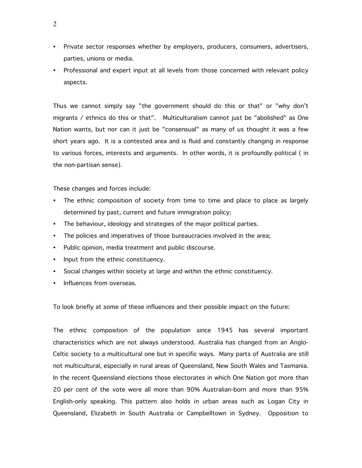- Private sector responses whether by employers, producers, consumers, advertisers, parties, unions or media.
- Professional and expert input at all levels from those concerned with relevant policy aspects.

Thus we cannot simply say "the government should do this or that" or "why don't migrants / ethnics do this or that". Multiculturalism cannot just be "abolished" as One Nation wants, but nor can it just be "consensual" as many of us thought it was a few short years ago. It is a contested area and is fluid and constantly changing in response to various forces, interests and arguments. In other words, it is profoundly political ( in the non-partisan sense).

These changes and forces include:

- The ethnic composition of society from time to time and place to place as largely determined by past, current and future immigration policy;
- The behaviour, ideology and strategies of the major political parties.
- The policies and imperatives of those bureaucracies involved in the area;
- Public opinion, media treatment and public discourse.
- Input from the ethnic constituency.
- Social changes within society at large and within the ethnic constituency.
- Influences from overseas.

To look briefly at some of these influences and their possible impact on the future:

The ethnic composition of the population since 1945 has several important characteristics which are not always understood. Australia has changed from an Anglo-Celtic society to a multicultural one but in specific ways. Many parts of Australia are still not multicultural, especially in rural areas of Queensland, New South Wales and Tasmania. In the recent Queensland elections those electorates in which One Nation got more than 20 per cent of the vote were all more than 90% Australian-born and more than 95% English-only speaking. This pattern also holds in urban areas such as Logan City in Queensland, Elizabeth in South Australia or Campbelltown in Sydney. Opposition to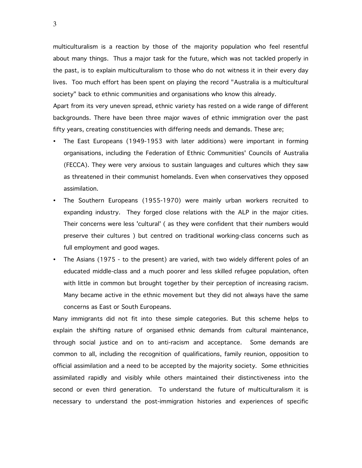multiculturalism is a reaction by those of the majority population who feel resentful about many things. Thus a major task for the future, which was not tackled properly in the past, is to explain multiculturalism to those who do not witness it in their every day lives. Too much effort has been spent on playing the record "Australia is a multicultural society" back to ethnic communities and organisations who know this already.

Apart from its very uneven spread, ethnic variety has rested on a wide range of different backgrounds. There have been three major waves of ethnic immigration over the past fifty years, creating constituencies with differing needs and demands. These are;

- The East Europeans (1949-1953 with later additions) were important in forming organisations, including the Federation of Ethnic Communities' Councils of Australia (FECCA). They were very anxious to sustain languages and cultures which they saw as threatened in their communist homelands. Even when conservatives they opposed assimilation.
- The Southern Europeans (1955-1970) were mainly urban workers recruited to expanding industry. They forged close relations with the ALP in the major cities. Their concerns were less 'cultural' ( as they were confident that their numbers would preserve their cultures ) but centred on traditional working-class concerns such as full employment and good wages.
- The Asians (1975 to the present) are varied, with two widely different poles of an educated middle-class and a much poorer and less skilled refugee population, often with little in common but brought together by their perception of increasing racism. Many became active in the ethnic movement but they did not always have the same concerns as East or South Europeans.

Many immigrants did not fit into these simple categories. But this scheme helps to explain the shifting nature of organised ethnic demands from cultural maintenance, through social justice and on to anti-racism and acceptance. Some demands are common to all, including the recognition of qualifications, family reunion, opposition to official assimilation and a need to be accepted by the majority society. Some ethnicities assimilated rapidly and visibly while others maintained their distinctiveness into the second or even third generation. To understand the future of multiculturalism it is necessary to understand the post-immigration histories and experiences of specific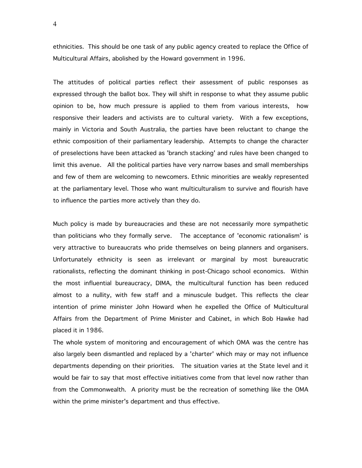ethnicities. This should be one task of any public agency created to replace the Office of Multicultural Affairs, abolished by the Howard government in 1996.

The attitudes of political parties reflect their assessment of public responses as expressed through the ballot box. They will shift in response to what they assume public opinion to be, how much pressure is applied to them from various interests, how responsive their leaders and activists are to cultural variety. With a few exceptions, mainly in Victoria and South Australia, the parties have been reluctant to change the ethnic composition of their parliamentary leadership. Attempts to change the character of preselections have been attacked as 'branch stacking' and rules have been changed to limit this avenue. All the political parties have very narrow bases and small memberships and few of them are welcoming to newcomers. Ethnic minorities are weakly represented at the parliamentary level. Those who want multiculturalism to survive and flourish have to influence the parties more actively than they do.

Much policy is made by bureaucracies and these are not necessarily more sympathetic than politicians who they formally serve. The acceptance of 'economic rationalism' is very attractive to bureaucrats who pride themselves on being planners and organisers. Unfortunately ethnicity is seen as irrelevant or marginal by most bureaucratic rationalists, reflecting the dominant thinking in post-Chicago school economics. Within the most influential bureaucracy, DIMA, the multicultural function has been reduced almost to a nullity, with few staff and a minuscule budget. This reflects the clear intention of prime minister John Howard when he expelled the Office of Multicultural Affairs from the Department of Prime Minister and Cabinet, in which Bob Hawke had placed it in 1986.

The whole system of monitoring and encouragement of which OMA was the centre has also largely been dismantled and replaced by a 'charter' which may or may not influence departments depending on their priorities. The situation varies at the State level and it would be fair to say that most effective initiatives come from that level now rather than from the Commonwealth. A priority must be the recreation of something like the OMA within the prime minister's department and thus effective.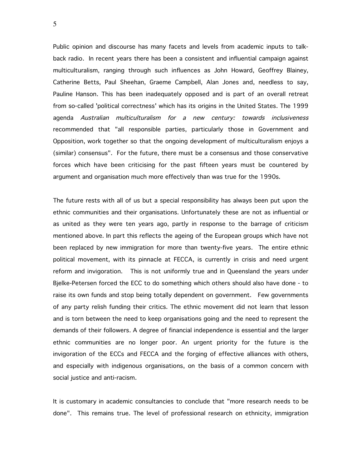Public opinion and discourse has many facets and levels from academic inputs to talkback radio. In recent years there has been a consistent and influential campaign against multiculturalism, ranging through such influences as John Howard, Geoffrey Blainey, Catherine Betts, Paul Sheehan, Graeme Campbell, Alan Jones and, needless to say, Pauline Hanson. This has been inadequately opposed and is part of an overall retreat from so-called 'political correctness' which has its origins in the United States. The 1999 agenda Australian multiculturalism for <sup>a</sup> new century: towards inclusiveness recommended that "all responsible parties, particularly those in Government and Opposition, work together so that the ongoing development of multiculturalism enjoys a (similar) consensus". For the future, there must be a consensus and those conservative forces which have been criticising for the past fifteen years must be countered by argument and organisation much more effectively than was true for the 1990s.

The future rests with all of us but a special responsibility has always been put upon the ethnic communities and their organisations. Unfortunately these are not as influential or as united as they were ten years ago, partly in response to the barrage of criticism mentioned above. In part this reflects the ageing of the European groups which have not been replaced by new immigration for more than twenty-five years. The entire ethnic political movement, with its pinnacle at FECCA, is currently in crisis and need urgent reform and invigoration. This is not uniformly true and in Queensland the years under Bjelke-Petersen forced the ECC to do something which others should also have done - to raise its own funds and stop being totally dependent on government. Few governments of any party relish funding their critics. The ethnic movement did not learn that lesson and is torn between the need to keep organisations going and the need to represent the demands of their followers. A degree of financial independence is essential and the larger ethnic communities are no longer poor. An urgent priority for the future is the invigoration of the ECCs and FECCA and the forging of effective alliances with others, and especially with indigenous organisations, on the basis of a common concern with social justice and anti-racism.

It is customary in academic consultancies to conclude that "more research needs to be done". This remains true. The level of professional research on ethnicity, immigration